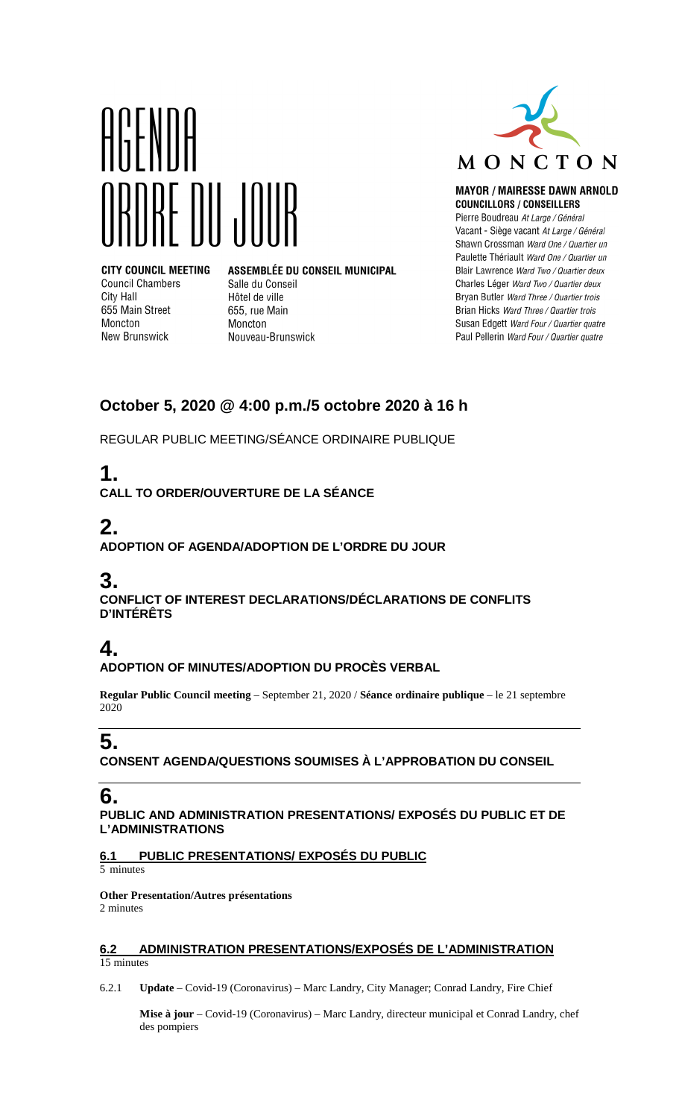

**CITY COUNCIL MEETING Council Chambers** City Hall 655 Main Street Moncton **New Brunswick** 

ASSEMBLÉE DU CONSEIL MUNICIPAL Salle du Conseil Hôtel de ville 655, rue Main Moncton Nouveau-Brunswick



#### **MAYOR / MAIRESSE DAWN ARNOLD COUNCILLORS / CONSEILLERS**

Pierre Boudreau At Large / Général Vacant - Siège vacant At Large / Général Shawn Crossman Ward One / Quartier un Paulette Thériault Ward One / Quartier un Blair Lawrence Ward Two / Quartier deux Charles Léger Ward Two / Quartier deux Bryan Butler Ward Three / Quartier trois Brian Hicks Ward Three / Quartier trois Susan Edgett Ward Four / Quartier quatre Paul Pellerin Ward Four / Quartier quatre

## **October 5, 2020 @ 4:00 p.m./5 octobre 2020 à 16 h**

REGULAR PUBLIC MEETING/SÉANCE ORDINAIRE PUBLIQUE

# **1.**

**CALL TO ORDER/OUVERTURE DE LA SÉANCE**

# **2.**

**ADOPTION OF AGENDA/ADOPTION DE L'ORDRE DU JOUR**

## **3.**

**CONFLICT OF INTEREST DECLARATIONS/DÉCLARATIONS DE CONFLITS D'INTÉRÊTS**

## **4.**

### **ADOPTION OF MINUTES/ADOPTION DU PROCÈS VERBAL**

**Regular Public Council meeting** – September 21, 2020 / **Séance ordinaire publique** – le 21 septembre 2020

## **5.**

**CONSENT AGENDA/QUESTIONS SOUMISES À L'APPROBATION DU CONSEIL**

## **6.**

### **PUBLIC AND ADMINISTRATION PRESENTATIONS/ EXPOSÉS DU PUBLIC ET DE L'ADMINISTRATIONS**

### **6.1 PUBLIC PRESENTATIONS/ EXPOSÉS DU PUBLIC**

5 minutes

#### **Other Presentation/Autres présentations**  2 minutes

**6.2 ADMINISTRATION PRESENTATIONS/EXPOSÉS DE L'ADMINISTRATION** 

15 minutes

6.2.1 **Update** – Covid-19 (Coronavirus) – Marc Landry, City Manager; Conrad Landry, Fire Chief

**Mise à jour** – Covid-19 (Coronavirus) – Marc Landry, directeur municipal et Conrad Landry, chef des pompiers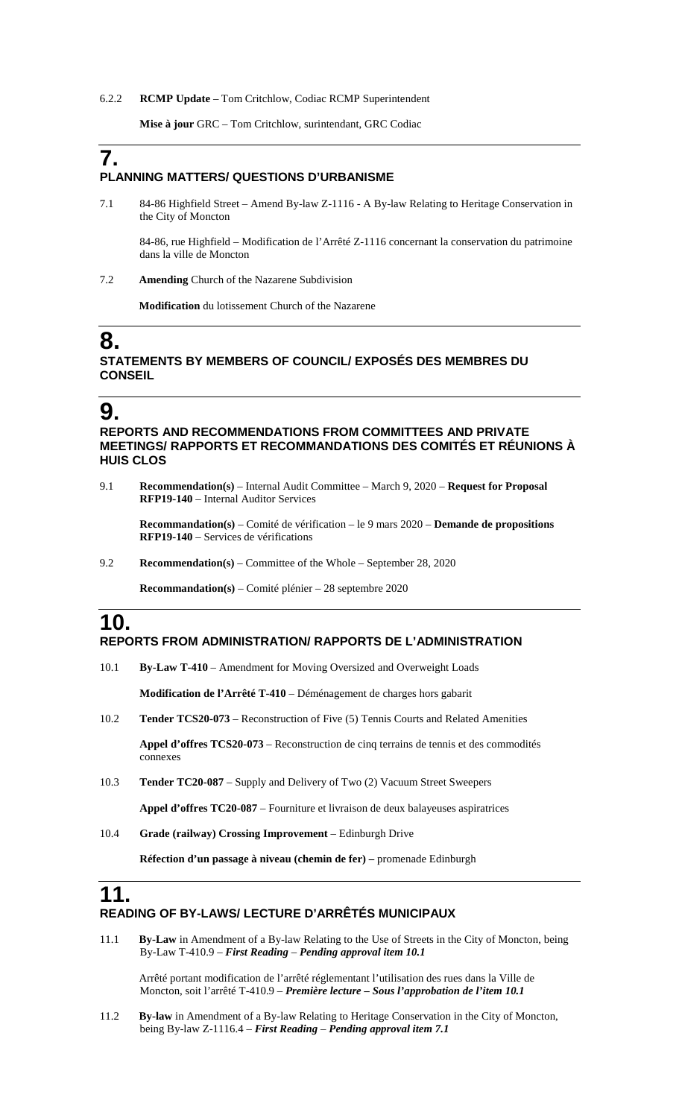#### 6.2.2 **RCMP Update** – Tom Critchlow, Codiac RCMP Superintendent

**Mise à jour** GRC – Tom Critchlow, surintendant, GRC Codiac

## **7. PLANNING MATTERS/ QUESTIONS D'URBANISME**

7.1 84-86 Highfield Street – Amend By-law Z-1116 - A By-law Relating to Heritage Conservation in the City of Moncton

84-86, rue Highfield – Modification de l'Arrêté Z-1116 concernant la conservation du patrimoine dans la ville de Moncton

7.2 **Amending** Church of the Nazarene Subdivision

**Modification** du lotissement Church of the Nazarene

### **8. STATEMENTS BY MEMBERS OF COUNCIL/ EXPOSÉS DES MEMBRES DU CONSEIL**

### **9.**

**REPORTS AND RECOMMENDATIONS FROM COMMITTEES AND PRIVATE MEETINGS/ RAPPORTS ET RECOMMANDATIONS DES COMITÉS ET RÉUNIONS À HUIS CLOS**

9.1 **Recommendation(s)** – Internal Audit Committee – March 9, 2020 – **Request for Proposal RFP19-140** – Internal Auditor Services

**Recommandation(s)** – Comité de vérification – le 9 mars 2020 – **Demande de propositions RFP19-140** – Services de vérifications

9.2 **Recommendation(s)** – Committee of the Whole – September 28, 2020

**Recommandation(s)** – Comité plénier – 28 septembre 2020

### **10. REPORTS FROM ADMINISTRATION/ RAPPORTS DE L'ADMINISTRATION**

10.1 **By-Law T-410** – Amendment for Moving Oversized and Overweight Loads

**Modification de l'Arrêté T-410** – Déménagement de charges hors gabarit

10.2 **Tender TCS20-073** – Reconstruction of Five (5) Tennis Courts and Related Amenities

**Appel d'offres TCS20-073** – Reconstruction de cinq terrains de tennis et des commodités connexes

10.3 **Tender TC20-087** – Supply and Delivery of Two (2) Vacuum Street Sweepers

**Appel d'offres TC20-087** – Fourniture et livraison de deux balayeuses aspiratrices

10.4 **Grade (railway) Crossing Improvement** – Edinburgh Drive

**Réfection d'un passage à niveau (chemin de fer) –** promenade Edinburgh

### **11. READING OF BY-LAWS/ LECTURE D'ARRÊTÉS MUNICIPAUX**

11.1 **By-Law** in Amendment of a By-law Relating to the Use of Streets in the City of Moncton, being By-Law T-410.9 – *First Reading* – *Pending approval item 10.1*

Arrêté portant modification de l'arrêté réglementant l'utilisation des rues dans la Ville de Moncton, soit l'arrêté T-410.9 – *Première lecture – Sous l'approbation de l'item 10.1*

11.2 **By-law** in Amendment of a By-law Relating to Heritage Conservation in the City of Moncton, being By-law Z-1116.4 – *First Reading* – *Pending approval item 7.1*